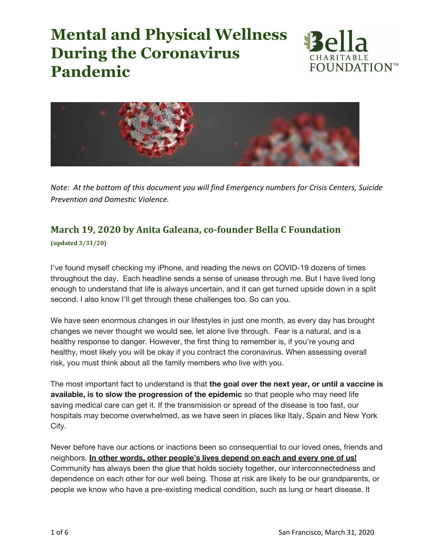



*Note: At the bottom of this document you will find Emergency numbers for Crisis Centers, Suicide Prevention and Domestic Violence.*

### **March 19, 2020 by Anita Galeana, co-founder Bella C Foundation**

**(updated 3/31/20)**

I've found myself checking my iPhone, and reading the news on COVID-19 dozens of times throughout the day. Each headline sends a sense of unease through me. But I have lived long enough to understand that life is always uncertain, and it can get turned upside down in a split second. I also know I'll get through these challenges too. So can you.

We have seen enormous changes in our lifestyles in just one month, as every day has brought changes we never thought we would see, let alone live through. Fear is a natural, and is a healthy response to danger. However, the first thing to remember is, if you're young and healthy, most likely you will be okay if you contract the coronavirus. When assessing overall risk, you must think about all the family members who live with you.

The most important fact to understand is that **the goal over the next year, or until a vaccine is available, is to slow the progression of the epidemic** so that people who may need life saving medical care can get it. If the transmission or spread of the disease is too fast, our hospitals may become overwhelmed, as we have seen in places like Italy, Spain and New York City.

Never before have our actions or inactions been so consequential to our loved ones, friends and neighbors. **In other words, other people's lives depend on each and every one of us!** Community has always been the glue that holds society together, our interconnectedness and dependence on each other for our well being. Those at risk are likely to be our grandparents, or people we know who have a pre-existing medical condition, such as lung or heart disease. It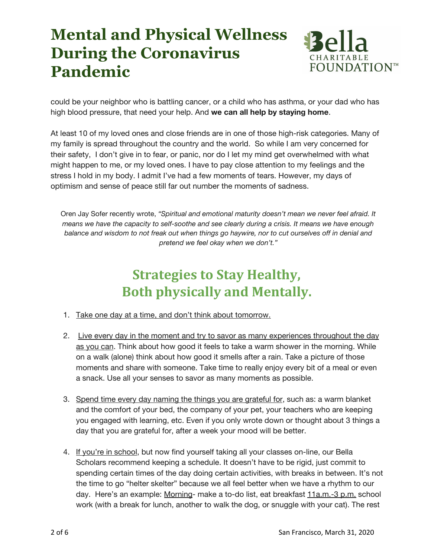

could be your neighbor who is battling cancer, or a child who has asthma, or your dad who has high blood pressure, that need your help. And **we can all help by staying home**.

At least 10 of my loved ones and close friends are in one of those high-risk categories. Many of my family is spread throughout the country and the world. So while I am very concerned for their safety, I don't give in to fear, or panic, nor do I let my mind get overwhelmed with what might happen to me, or my loved ones. I have to pay close attention to my feelings and the stress I hold in my body. I admit I've had a few moments of tears. However, my days of optimism and sense of peace still far out number the moments of sadness.

Oren Jay Sofer recently wrote, *"Spiritual and emotional maturity doesn't mean we never feel afraid. It means we have the capacity to self-soothe and see clearly during a crisis. It means we have enough* balance and wisdom to not freak out when things go haywire, nor to cut ourselves off in denial and *pretend we feel okay when we don't."*

### **Strategies to Stay Healthy, Both physically and Mentally.**

- 1. Take one day at a time, and don't think about tomorrow.
- 2. Live every day in the moment and try to savor as many experiences throughout the day as you can. Think about how good it feels to take a warm shower in the morning. While on a walk (alone) think about how good it smells after a rain. Take a picture of those moments and share with someone. Take time to really enjoy every bit of a meal or even a snack. Use all your senses to savor as many moments as possible.
- 3. Spend time every day naming the things you are grateful for, such as: a warm blanket and the comfort of your bed, the company of your pet, your teachers who are keeping you engaged with learning, etc. Even if you only wrote down or thought about 3 things a day that you are grateful for, after a week your mood will be better.
- 4. If you're in school, but now find yourself taking all your classes on-line, our Bella Scholars recommend keeping a schedule. It doesn't have to be rigid, just commit to spending certain times of the day doing certain activities, with breaks in between. It's not the time to go "helter skelter" because we all feel better when we have a rhythm to our day. Here's an example: Morning- make a to-do list, eat breakfast 11a.m.-3 p.m. school work (with a break for lunch, another to walk the dog, or snuggle with your cat). The rest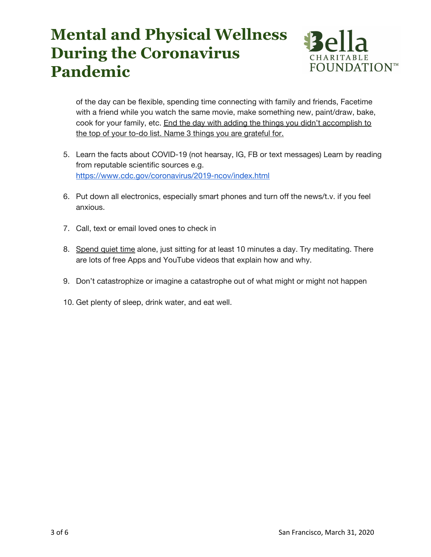

of the day can be flexible, spending time connecting with family and friends, Facetime with a friend while you watch the same movie, make something new, paint/draw, bake, cook for your family, etc. End the day with adding the things you didn't accomplish to the top of your to-do list. Name 3 things you are grateful for.

- 5. Learn the facts about COVID-19 (not hearsay, IG, FB or text messages) Learn by reading from reputable scientific sources e.g. <https://www.cdc.gov/coronavirus/2019-ncov/index.html>
- 6. Put down all electronics, especially smart phones and turn off the news/t.v. if you feel anxious.
- 7. Call, text or email loved ones to check in
- 8. Spend quiet time alone, just sitting for at least 10 minutes a day. Try meditating. There are lots of free Apps and YouTube videos that explain how and why.
- 9. Don't catastrophize or imagine a catastrophe out of what might or might not happen
- 10. Get plenty of sleep, drink water, and eat well.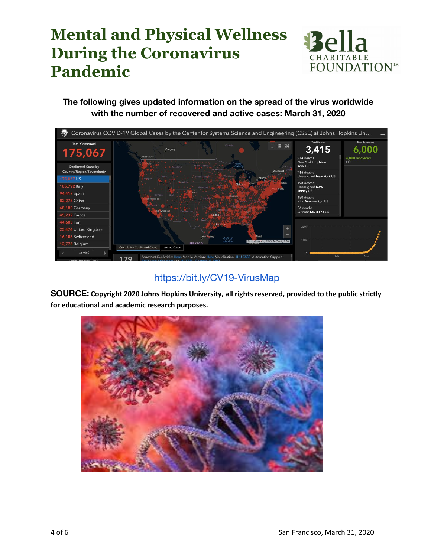

**The following gives updated information on the spread of the virus worldwide with the number of recovered and active cases: March 31, 2020**



### <https://bit.ly/CV19-VirusMap>

**SOURCE: Copyright 2020 Johns Hopkins University, all rights reserved, provided to the public strictly for educational and academic research purposes.**

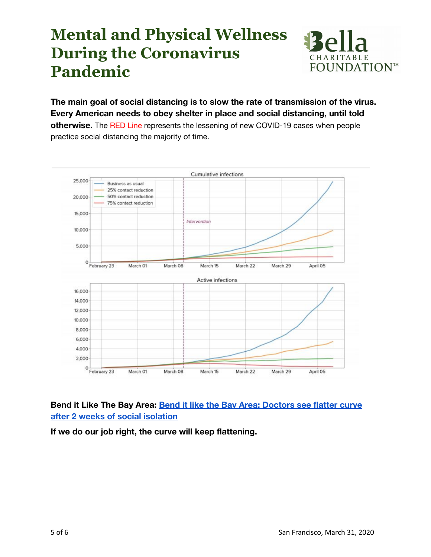

**The main goal of social distancing is to slow the rate of transmission of the virus. Every American needs to obey shelter in place and social distancing, until told otherwise.** The RED Line represents the lessening of new COVID-19 cases when people practice social distancing the majority of time.



**Bend it Like The Bay Area: [Bend it like the Bay Area: Doctors see flatter curve](https://www.politico.com/states/california/story/2020/03/30/bend-it-like-the-bay-area-doctors-see-flatter-curve-after-2-weeks-of-social-isolation-1269663) [after 2 weeks of social isolation](https://www.politico.com/states/california/story/2020/03/30/bend-it-like-the-bay-area-doctors-see-flatter-curve-after-2-weeks-of-social-isolation-1269663)**

**If we do our job right, the curve will keep flattening.**